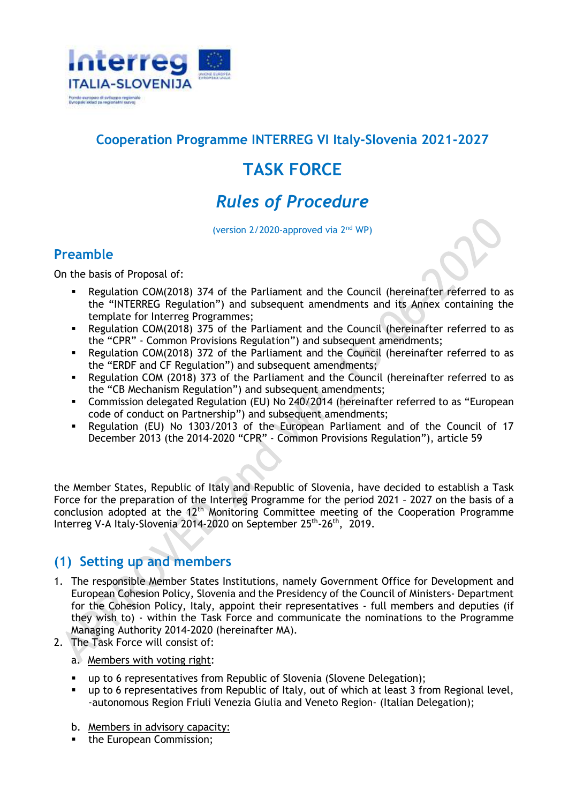

## **Cooperation Programme INTERREG VI Italy-Slovenia 2021-2027**

# **TASK FORCE**

# *Rules of Procedure*

(version 2/2020-approved via 2nd WP)

### **Preamble**

On the basis of Proposal of:

- Regulation COM(2018) 374 of the Parliament and the Council (hereinafter referred to as the "INTERREG Regulation") and subsequent amendments and its Annex containing the template for Interreg Programmes;
- Regulation COM(2018) 375 of the Parliament and the Council (hereinafter referred to as the "CPR" - Common Provisions Regulation") and subsequent amendments;
- Regulation COM(2018) 372 of the Parliament and the Council (hereinafter referred to as the "ERDF and CF Regulation") and subsequent amendments;
- Regulation COM (2018) 373 of the Parliament and the Council (hereinafter referred to as the "CB Mechanism Regulation") and subsequent amendments;
- Commission delegated Regulation (EU) No 240/2014 (hereinafter referred to as "European code of conduct on Partnership") and subsequent amendments;
- Regulation (EU) No 1303/2013 of the European Parliament and of the Council of 17 December 2013 (the 2014-2020 "CPR" - Common Provisions Regulation"), article 59

the Member States, Republic of Italy and Republic of Slovenia, have decided to establish a Task Force for the preparation of the Interreg Programme for the period 2021 – 2027 on the basis of a conclusion adopted at the 12<sup>th</sup> Monitoring Committee meeting of the Cooperation Programme Interreg V-A Italy-Slovenia 2014-2020 on September 25<sup>th</sup>-26<sup>th</sup>, 2019.

### **(1) Setting up and members**

- 1. The responsible Member States Institutions, namely Government Office for Development and European Cohesion Policy, Slovenia and the Presidency of the Council of Ministers- Department for the Cohesion Policy, Italy, appoint their representatives - full members and deputies (if they wish to) - within the Task Force and communicate the nominations to the Programme Managing Authority 2014-2020 (hereinafter MA).
- 2. The Task Force will consist of:
	- a. Members with voting right:
	- up to 6 representatives from Republic of Slovenia (Slovene Delegation);
	- up to 6 representatives from Republic of Italy, out of which at least 3 from Regional level, -autonomous Region Friuli Venezia Giulia and Veneto Region- (Italian Delegation);
	- b. Members in advisory capacity:
	- the European Commission;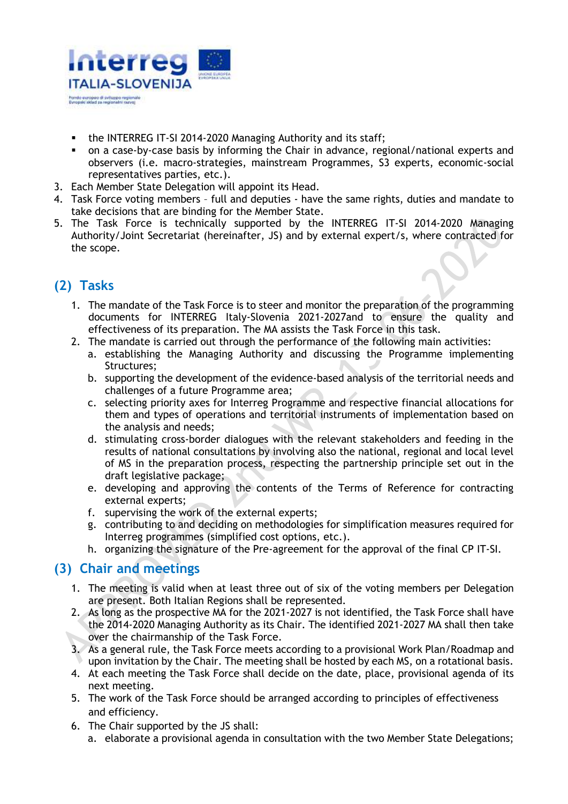

- the INTERREG IT-SI 2014-2020 Managing Authority and its staff;
- on a case-by-case basis by informing the Chair in advance, regional/national experts and observers (i.e. macro-strategies, mainstream Programmes, S3 experts, economic-social representatives parties, etc.).
- 3. Each Member State Delegation will appoint its Head.
- 4. Task Force voting members full and deputies have the same rights, duties and mandate to take decisions that are binding for the Member State.
- 5. The Task Force is technically supported by the INTERREG IT-SI 2014-2020 Managing Authority/Joint Secretariat (hereinafter, JS) and by external expert/s, where contracted for the scope.

# **(2) Tasks**

- 1. The mandate of the Task Force is to steer and monitor the preparation of the programming documents for INTERREG Italy-Slovenia 2021-2027and to ensure the quality and effectiveness of its preparation. The MA assists the Task Force in this task.
- 2. The mandate is carried out through the performance of the following main activities:
	- a. establishing the Managing Authority and discussing the Programme implementing Structures;
	- b. supporting the development of the evidence-based analysis of the territorial needs and challenges of a future Programme area;
	- c. selecting priority axes for Interreg Programme and respective financial allocations for them and types of operations and territorial instruments of implementation based on the analysis and needs;
	- d. stimulating cross-border dialogues with the relevant stakeholders and feeding in the results of national consultations by involving also the national, regional and local level of MS in the preparation process, respecting the partnership principle set out in the draft legislative package;
	- e. developing and approving the contents of the Terms of Reference for contracting external experts;
	- f. supervising the work of the external experts;
	- g. contributing to and deciding on methodologies for simplification measures required for Interreg programmes (simplified cost options, etc.).
	- h. organizing the signature of the Pre-agreement for the approval of the final CP IT-SI.

### **(3) Chair and meetings**

- 1. The meeting is valid when at least three out of six of the voting members per Delegation are present. Both Italian Regions shall be represented.
- 2. As long as the prospective MA for the 2021-2027 is not identified, the Task Force shall have the 2014-2020 Managing Authority as its Chair. The identified 2021-2027 MA shall then take over the chairmanship of the Task Force.
- 3. As a general rule, the Task Force meets according to a provisional Work Plan/Roadmap and upon invitation by the Chair. The meeting shall be hosted by each MS, on a rotational basis.
- 4. At each meeting the Task Force shall decide on the date, place, provisional agenda of its next meeting.
- 5. The work of the Task Force should be arranged according to principles of effectiveness and efficiency.
- 6. The Chair supported by the JS shall:
	- a. elaborate a provisional agenda in consultation with the two Member State Delegations;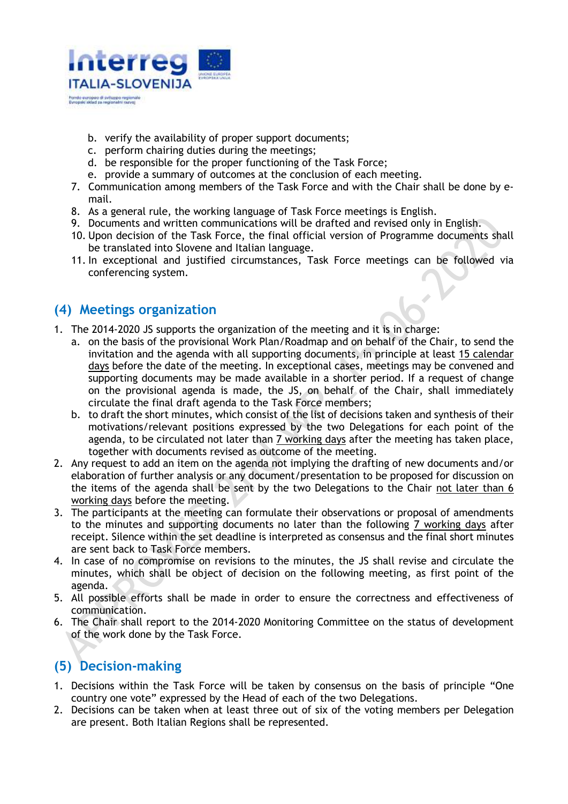

- b. verify the availability of proper support documents;
- c. perform chairing duties during the meetings;
- d. be responsible for the proper functioning of the Task Force;
- e. provide a summary of outcomes at the conclusion of each meeting.
- 7. Communication among members of the Task Force and with the Chair shall be done by email.
- 8. As a general rule, the working language of Task Force meetings is English.
- 9. Documents and written communications will be drafted and revised only in English.
- 10. Upon decision of the Task Force, the final official version of Programme documents shall be translated into Slovene and Italian language.
- 11. In exceptional and justified circumstances, Task Force meetings can be followed via conferencing system.

### **(4) Meetings organization**

- 1. The 2014-2020 JS supports the organization of the meeting and it is in charge:
	- a. on the basis of the provisional Work Plan/Roadmap and on behalf of the Chair, to send the invitation and the agenda with all supporting documents, in principle at least 15 calendar days before the date of the meeting. In exceptional cases, meetings may be convened and supporting documents may be made available in a shorter period. If a request of change on the provisional agenda is made, the JS, on behalf of the Chair, shall immediately circulate the final draft agenda to the Task Force members;
	- b. to draft the short minutes, which consist of the list of decisions taken and synthesis of their motivations/relevant positions expressed by the two Delegations for each point of the agenda, to be circulated not later than 7 working days after the meeting has taken place, together with documents revised as outcome of the meeting.
- 2. Any request to add an item on the agenda not implying the drafting of new documents and/or elaboration of further analysis or any document/presentation to be proposed for discussion on the items of the agenda shall be sent by the two Delegations to the Chair not later than 6 working days before the meeting.
- 3. The participants at the meeting can formulate their observations or proposal of amendments to the minutes and supporting documents no later than the following 7 working days after receipt. Silence within the set deadline is interpreted as consensus and the final short minutes are sent back to Task Force members.
- 4. In case of no compromise on revisions to the minutes, the JS shall revise and circulate the minutes, which shall be object of decision on the following meeting, as first point of the agenda.
- 5. All possible efforts shall be made in order to ensure the correctness and effectiveness of communication.
- 6. The Chair shall report to the 2014-2020 Monitoring Committee on the status of development of the work done by the Task Force.

# **(5) Decision-making**

- 1. Decisions within the Task Force will be taken by consensus on the basis of principle "One country one vote" expressed by the Head of each of the two Delegations.
- 2. Decisions can be taken when at least three out of six of the voting members per Delegation are present. Both Italian Regions shall be represented.